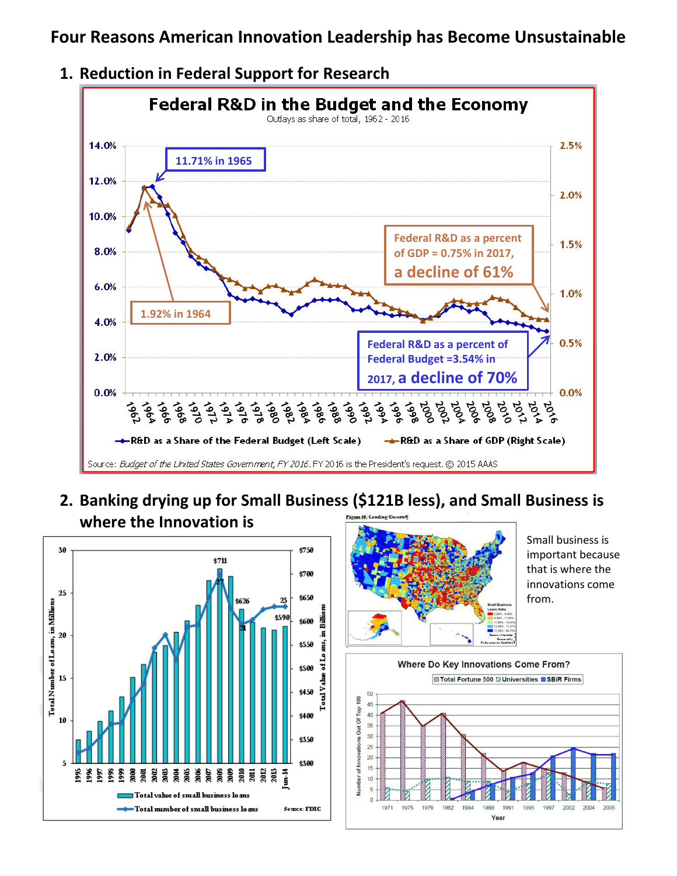**Four Reasons American Innovation Leadership has Become Unsustainable** 





**2. Banking drying up for Small Business (\$121B less), and Small Business is where the Innovation is** 





Small business is important because that is where the innovations come from.